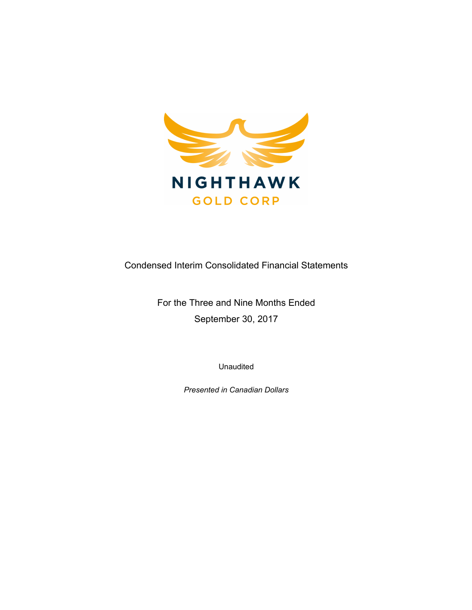

Condensed Interim Consolidated Financial Statements

For the Three and Nine Months Ended September 30, 2017

Unaudited

*Presented in Canadian Dollars*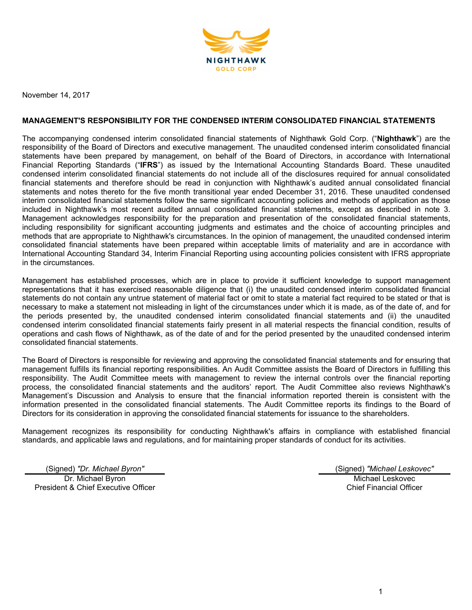

November 14, 2017

# **MANAGEMENT'S RESPONSIBILITY FOR THE CONDENSED INTERIM CONSOLIDATED FINANCIAL STATEMENTS**

The accompanying condensed interim consolidated financial statements of Nighthawk Gold Corp. ("**Nighthawk**") are the responsibility of the Board of Directors and executive management. The unaudited condensed interim consolidated financial statements have been prepared by management, on behalf of the Board of Directors, in accordance with International Financial Reporting Standards ("**IFRS**") as issued by the International Accounting Standards Board. These unaudited condensed interim consolidated financial statements do not include all of the disclosures required for annual consolidated financial statements and therefore should be read in conjunction with Nighthawk's audited annual consolidated financial statements and notes thereto for the five month transitional year ended December 31, 2016. These unaudited condensed interim consolidated financial statements follow the same significant accounting policies and methods of application as those included in Nighthawk's most recent audited annual consolidated financial statements, except as described in note 3. Management acknowledges responsibility for the preparation and presentation of the consolidated financial statements, including responsibility for significant accounting judgments and estimates and the choice of accounting principles and methods that are appropriate to Nighthawk's circumstances. In the opinion of management, the unaudited condensed interim consolidated financial statements have been prepared within acceptable limits of materiality and are in accordance with International Accounting Standard 34, Interim Financial Reporting using accounting policies consistent with IFRS appropriate in the circumstances.

Management has established processes, which are in place to provide it sufficient knowledge to support management representations that it has exercised reasonable diligence that (i) the unaudited condensed interim consolidated financial statements do not contain any untrue statement of material fact or omit to state a material fact required to be stated or that is necessary to make a statement not misleading in light of the circumstances under which it is made, as of the date of, and for the periods presented by, the unaudited condensed interim consolidated financial statements and (ii) the unaudited condensed interim consolidated financial statements fairly present in all material respects the financial condition, results of operations and cash flows of Nighthawk, as of the date of and for the period presented by the unaudited condensed interim consolidated financial statements.

The Board of Directors is responsible for reviewing and approving the consolidated financial statements and for ensuring that management fulfills its financial reporting responsibilities. An Audit Committee assists the Board of Directors in fulfilling this responsibility. The Audit Committee meets with management to review the internal controls over the financial reporting process, the consolidated financial statements and the auditors' report. The Audit Committee also reviews Nighthawk's Management's Discussion and Analysis to ensure that the financial information reported therein is consistent with the information presented in the consolidated financial statements. The Audit Committee reports its findings to the Board of Directors for its consideration in approving the consolidated financial statements for issuance to the shareholders.

Management recognizes its responsibility for conducting Nighthawk's affairs in compliance with established financial standards, and applicable laws and regulations, and for maintaining proper standards of conduct for its activities.

(Signed) *"Dr. Michael Byron"* (Signed) *"Michael Leskovec"* Dr. Michael Byron President & Chief Executive Officer

Michael Leskovec Chief Financial Officer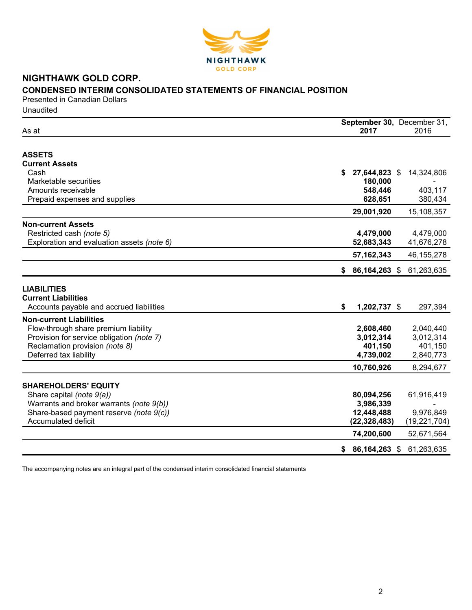

# **NIGHTHAWK GOLD CORP.**

# **CONDENSED INTERIM CONSOLIDATED STATEMENTS OF FINANCIAL POSITION**

Presented in Canadian Dollars Unaudited

|                                            |                     | September 30, December 31, |  |
|--------------------------------------------|---------------------|----------------------------|--|
| As at                                      | 2017                | 2016                       |  |
| <b>ASSETS</b>                              |                     |                            |  |
| <b>Current Assets</b>                      |                     |                            |  |
| Cash                                       | 27,644,823 \$<br>S  | 14,324,806                 |  |
| Marketable securities                      | 180,000             |                            |  |
| Amounts receivable                         | 548,446             | 403,117                    |  |
| Prepaid expenses and supplies              | 628,651             | 380,434                    |  |
|                                            |                     |                            |  |
|                                            | 29,001,920          | 15,108,357                 |  |
| <b>Non-current Assets</b>                  |                     |                            |  |
| Restricted cash (note 5)                   | 4,479,000           | 4,479,000                  |  |
| Exploration and evaluation assets (note 6) | 52,683,343          | 41,676,278                 |  |
|                                            | 57, 162, 343        | 46, 155, 278               |  |
|                                            | 86,164,263 \$<br>\$ | 61,263,635                 |  |
|                                            |                     |                            |  |
| <b>LIABILITIES</b>                         |                     |                            |  |
| <b>Current Liabilities</b>                 |                     |                            |  |
| Accounts payable and accrued liabilities   | \$<br>1,202,737 \$  | 297,394                    |  |
|                                            |                     |                            |  |
| <b>Non-current Liabilities</b>             |                     |                            |  |
| Flow-through share premium liability       | 2,608,460           | 2,040,440                  |  |
| Provision for service obligation (note 7)  | 3,012,314           | 3,012,314                  |  |
| Reclamation provision (note 8)             | 401,150             | 401,150                    |  |
| Deferred tax liability                     | 4,739,002           | 2,840,773                  |  |
|                                            | 10,760,926          | 8,294,677                  |  |
|                                            |                     |                            |  |
| <b>SHAREHOLDERS' EQUITY</b>                |                     |                            |  |
| Share capital (note 9(a))                  | 80,094,256          | 61,916,419                 |  |
| Warrants and broker warrants (note 9(b))   | 3,986,339           |                            |  |
| Share-based payment reserve (note 9(c))    | 12,448,488          | 9,976,849                  |  |
| Accumulated deficit                        | (22, 328, 483)      | (19, 221, 704)             |  |
|                                            | 74,200,600          | 52,671,564                 |  |
|                                            | 86,164,263 \$<br>\$ | 61,263,635                 |  |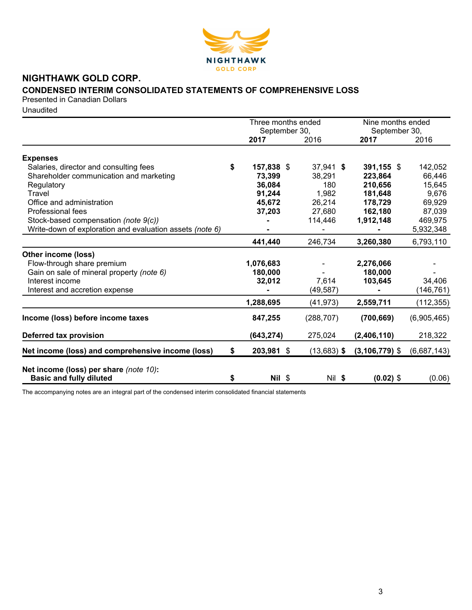

# **NIGHTHAWK GOLD CORP.**

# **CONDENSED INTERIM CONSOLIDATED STATEMENTS OF COMPREHENSIVE LOSS**

Presented in Canadian Dollars

Unaudited

|                                                                          |    | Three months ended    |               | Nine months ended     |             |
|--------------------------------------------------------------------------|----|-----------------------|---------------|-----------------------|-------------|
|                                                                          |    | September 30,<br>2017 | 2016          | September 30,<br>2017 | 2016        |
|                                                                          |    |                       |               |                       |             |
| <b>Expenses</b>                                                          |    |                       |               |                       |             |
| Salaries, director and consulting fees                                   | \$ | 157,838 \$            | 37,941 \$     | 391,155 $$$           | 142,052     |
| Shareholder communication and marketing                                  |    | 73,399                | 38,291        | 223,864               | 66,446      |
| Regulatory                                                               |    | 36,084                | 180           | 210,656               | 15,645      |
| Travel                                                                   |    | 91,244                | 1,982         | 181,648               | 9,676       |
| Office and administration                                                |    | 45,672                | 26,214        | 178,729               | 69,929      |
| Professional fees                                                        |    | 37,203                | 27,680        | 162,180               | 87,039      |
| Stock-based compensation (note 9(c))                                     |    |                       | 114,446       | 1,912,148             | 469,975     |
| Write-down of exploration and evaluation assets (note 6)                 |    |                       |               |                       | 5,932,348   |
|                                                                          |    | 441,440               | 246,734       | 3,260,380             | 6,793,110   |
| Other income (loss)                                                      |    |                       |               |                       |             |
| Flow-through share premium                                               |    | 1,076,683             |               | 2,276,066             |             |
| Gain on sale of mineral property (note 6)                                |    | 180,000               |               | 180,000               |             |
| Interest income                                                          |    | 32,012                | 7,614         | 103,645               | 34,406      |
| Interest and accretion expense                                           |    |                       | (49, 587)     |                       | (146, 761)  |
|                                                                          |    | 1,288,695             | (41, 973)     | 2,559,711             | (112, 355)  |
| Income (loss) before income taxes                                        |    | 847,255               | (288, 707)    | (700, 669)            | (6,905,465) |
| Deferred tax provision                                                   |    | (643, 274)            | 275,024       | (2,406,110)           | 218,322     |
| Net income (loss) and comprehensive income (loss)                        | S. | 203,981 \$            | $(13,683)$ \$ | $(3, 106, 779)$ \$    | (6,687,143) |
| Net income (loss) per share (note 10):<br><b>Basic and fully diluted</b> | \$ | Nil \$                | Nil \$        | $(0.02)$ \$           | (0.06)      |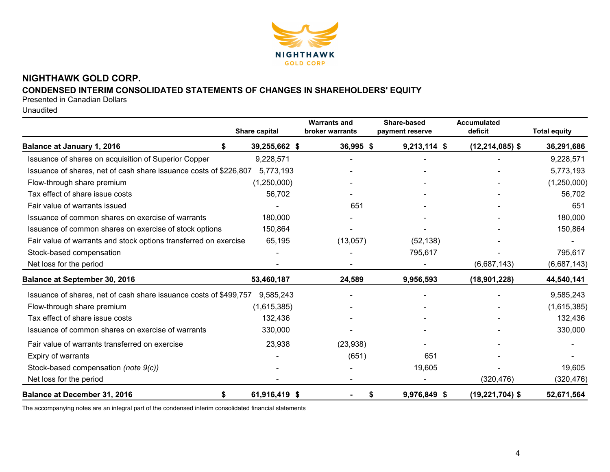

# **NIGHTHAWK GOLD CORP.**

# **CONDENSED INTERIM CONSOLIDATED STATEMENTS OF CHANGES IN SHAREHOLDERS' EQUITY**

Presented in Canadian Dollars

Unaudited

|                                                                   | Share capital | <b>Warrants and</b><br>broker warrants | Share-based<br>payment reserve | <b>Accumulated</b><br>deficit | <b>Total equity</b> |
|-------------------------------------------------------------------|---------------|----------------------------------------|--------------------------------|-------------------------------|---------------------|
| <b>Balance at January 1, 2016</b>                                 | 39,255,662 \$ | 36,995 \$                              | $9,213,114$ \$                 | $(12, 214, 085)$ \$           | 36,291,686          |
| Issuance of shares on acquisition of Superior Copper              | 9,228,571     |                                        |                                |                               | 9,228,571           |
| Issuance of shares, net of cash share issuance costs of \$226,807 | 5,773,193     |                                        |                                |                               | 5,773,193           |
| Flow-through share premium                                        | (1,250,000)   |                                        |                                |                               | (1,250,000)         |
| Tax effect of share issue costs                                   | 56,702        |                                        |                                |                               | 56,702              |
| Fair value of warrants issued                                     |               | 651                                    |                                |                               | 651                 |
| Issuance of common shares on exercise of warrants                 | 180,000       |                                        |                                |                               | 180,000             |
| Issuance of common shares on exercise of stock options            | 150,864       |                                        |                                |                               | 150,864             |
| Fair value of warrants and stock options transferred on exercise  | 65,195        | (13,057)                               | (52, 138)                      |                               |                     |
| Stock-based compensation                                          |               |                                        | 795,617                        |                               | 795,617             |
| Net loss for the period                                           |               |                                        |                                | (6,687,143)                   | (6,687,143)         |
| <b>Balance at September 30, 2016</b>                              | 53,460,187    | 24,589                                 | 9,956,593                      | (18, 901, 228)                | 44,540,141          |
| Issuance of shares, net of cash share issuance costs of \$499,757 | 9,585,243     |                                        |                                |                               | 9,585,243           |
| Flow-through share premium                                        | (1,615,385)   |                                        |                                |                               | (1,615,385)         |
| Tax effect of share issue costs                                   | 132,436       |                                        |                                |                               | 132,436             |
| Issuance of common shares on exercise of warrants                 | 330,000       |                                        |                                |                               | 330,000             |
| Fair value of warrants transferred on exercise                    | 23,938        | (23,938)                               |                                |                               |                     |
| Expiry of warrants                                                |               | (651)                                  | 651                            |                               |                     |
| Stock-based compensation (note 9(c))                              |               |                                        | 19,605                         |                               | 19,605              |
| Net loss for the period                                           |               |                                        |                                | (320, 476)                    | (320, 476)          |
| <b>Balance at December 31, 2016</b>                               | 61,916,419 \$ |                                        | 9,976,849 \$<br>S.             | $(19, 221, 704)$ \$           | 52,671,564          |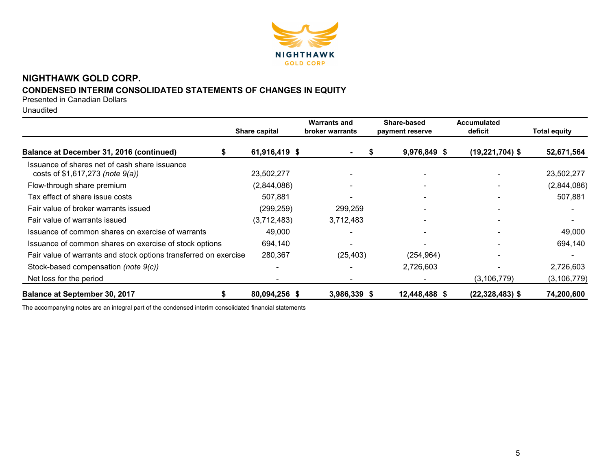

# **NIGHTHAWK GOLD CORP. CONDENSED INTERIM CONSOLIDATED STATEMENTS OF CHANGES IN EQUITY**

Presented in Canadian Dollars

Unaudited

|                                                                                       | Share capital | <b>Warrants and</b><br>broker warrants | Share-based<br>payment reserve | <b>Accumulated</b><br>deficit | <b>Total equity</b> |  |
|---------------------------------------------------------------------------------------|---------------|----------------------------------------|--------------------------------|-------------------------------|---------------------|--|
| Balance at December 31, 2016 (continued)                                              | 61,916,419 \$ |                                        | 9,976,849 \$<br>S              | $(19, 221, 704)$ \$           | 52,671,564          |  |
| Issuance of shares net of cash share issuance<br>costs of $$1,617,273$ (note $9(a)$ ) | 23,502,277    |                                        |                                |                               | 23,502,277          |  |
| Flow-through share premium                                                            | (2,844,086)   |                                        |                                |                               | (2,844,086)         |  |
| Tax effect of share issue costs                                                       | 507,881       |                                        |                                |                               | 507,881             |  |
| Fair value of broker warrants issued                                                  | (299, 259)    | 299,259                                |                                |                               |                     |  |
| Fair value of warrants issued                                                         | (3,712,483)   | 3,712,483                              |                                |                               |                     |  |
| Issuance of common shares on exercise of warrants                                     | 49,000        |                                        |                                |                               | 49,000              |  |
| Issuance of common shares on exercise of stock options                                | 694,140       |                                        |                                |                               | 694,140             |  |
| Fair value of warrants and stock options transferred on exercise                      | 280,367       | (25, 403)                              | (254, 964)                     |                               |                     |  |
| Stock-based compensation (note 9(c))                                                  |               |                                        | 2,726,603                      |                               | 2,726,603           |  |
| Net loss for the period                                                               |               |                                        |                                | (3, 106, 779)                 | (3, 106, 779)       |  |
| <b>Balance at September 30, 2017</b>                                                  | 80,094,256 \$ | 3,986,339 \$                           | 12,448,488 \$                  | $(22, 328, 483)$ \$           | 74,200,600          |  |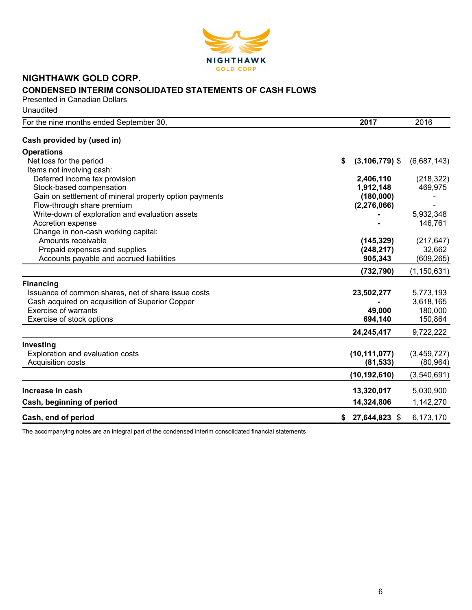

# **NIGHTHAWK GOLD CORP. CONDENSED INTERIM CONSOLIDATED STATEMENTS OF CASH FLOWS**

Presented in Canadian Dollars Unaudited

| For the nine months ended September 30,                | 2017                    | 2016          |
|--------------------------------------------------------|-------------------------|---------------|
| Cash provided by (used in)                             |                         |               |
| <b>Operations</b>                                      |                         |               |
| Net loss for the period                                | $(3, 106, 779)$ \$<br>S | (6,687,143)   |
| Items not involving cash:                              |                         |               |
| Deferred income tax provision                          | 2,406,110               | (218, 322)    |
| Stock-based compensation                               | 1,912,148               | 469,975       |
| Gain on settlement of mineral property option payments | (180,000)               |               |
| Flow-through share premium                             | (2, 276, 066)           |               |
| Write-down of exploration and evaluation assets        |                         | 5,932,348     |
| Accretion expense                                      |                         | 146,761       |
| Change in non-cash working capital:                    |                         |               |
| Amounts receivable                                     | (145, 329)              | (217, 647)    |
| Prepaid expenses and supplies                          | (248, 217)              | 32,662        |
| Accounts payable and accrued liabilities               | 905,343                 | (609, 265)    |
|                                                        | (732, 790)              | (1, 150, 631) |
| <b>Financing</b>                                       |                         |               |
| Issuance of common shares, net of share issue costs    | 23,502,277              | 5,773,193     |
| Cash acquired on acquisition of Superior Copper        |                         | 3,618,165     |
| <b>Exercise of warrants</b>                            | 49,000                  | 180,000       |
| Exercise of stock options                              | 694,140                 | 150,864       |
|                                                        | 24,245,417              | 9,722,222     |
| Investing                                              |                         |               |
| Exploration and evaluation costs                       | (10, 111, 077)          | (3,459,727)   |
| Acquisition costs                                      | (81, 533)               | (80, 964)     |
|                                                        | (10, 192, 610)          | (3,540,691)   |
| Increase in cash                                       | 13,320,017              | 5,030,900     |
|                                                        |                         |               |
| Cash, beginning of period                              | 14,324,806              | 1,142,270     |
| Cash, end of period                                    | 27,644,823 \$<br>\$     | 6,173,170     |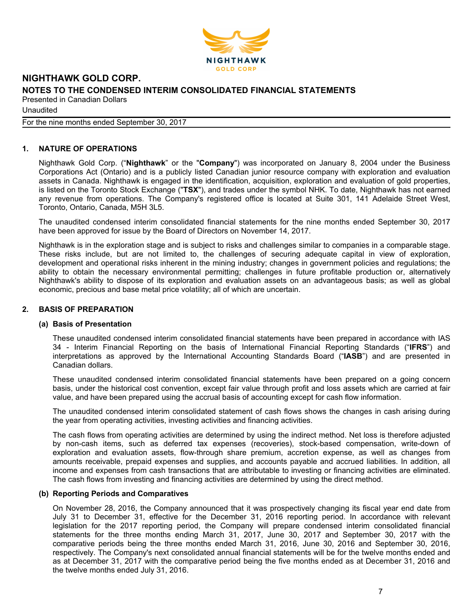

Unaudited

For the nine months ended September 30, 2017

# **1. NATURE OF OPERATIONS**

Nighthawk Gold Corp. ("**Nighthawk**" or the "**Company**") was incorporated on January 8, 2004 under the Business Corporations Act (Ontario) and is a publicly listed Canadian junior resource company with exploration and evaluation assets in Canada. Nighthawk is engaged in the identification, acquisition, exploration and evaluation of gold properties, is listed on the Toronto Stock Exchange ("**TSX**"), and trades under the symbol NHK. To date, Nighthawk has not earned any revenue from operations. The Company's registered office is located at Suite 301, 141 Adelaide Street West, Toronto, Ontario, Canada, M5H 3L5.

The unaudited condensed interim consolidated financial statements for the nine months ended September 30, 2017 have been approved for issue by the Board of Directors on November 14, 2017.

Nighthawk is in the exploration stage and is subject to risks and challenges similar to companies in a comparable stage. These risks include, but are not limited to, the challenges of securing adequate capital in view of exploration, development and operational risks inherent in the mining industry; changes in government policies and regulations; the ability to obtain the necessary environmental permitting; challenges in future profitable production or, alternatively Nighthawk's ability to dispose of its exploration and evaluation assets on an advantageous basis; as well as global economic, precious and base metal price volatility; all of which are uncertain.

# **2. BASIS OF PREPARATION**

#### **(a) Basis of Presentation**

These unaudited condensed interim consolidated financial statements have been prepared in accordance with IAS 34 - Interim Financial Reporting on the basis of International Financial Reporting Standards ("**IFRS**") and interpretations as approved by the International Accounting Standards Board ("**IASB**") and are presented in Canadian dollars.

These unaudited condensed interim consolidated financial statements have been prepared on a going concern basis, under the historical cost convention, except fair value through profit and loss assets which are carried at fair value, and have been prepared using the accrual basis of accounting except for cash flow information.

The unaudited condensed interim consolidated statement of cash flows shows the changes in cash arising during the year from operating activities, investing activities and financing activities.

The cash flows from operating activities are determined by using the indirect method. Net loss is therefore adjusted by non-cash items, such as deferred tax expenses (recoveries), stock-based compensation, write-down of exploration and evaluation assets, flow-through share premium, accretion expense, as well as changes from amounts receivable, prepaid expenses and supplies, and accounts payable and accrued liabilities. In addition, all income and expenses from cash transactions that are attributable to investing or financing activities are eliminated. The cash flows from investing and financing activities are determined by using the direct method.

#### **(b) Reporting Periods and Comparatives**

On November 28, 2016, the Company announced that it was prospectively changing its fiscal year end date from July 31 to December 31, effective for the December 31, 2016 reporting period. In accordance with relevant legislation for the 2017 reporting period, the Company will prepare condensed interim consolidated financial statements for the three months ending March 31, 2017, June 30, 2017 and September 30, 2017 with the comparative periods being the three months ended March 31, 2016, June 30, 2016 and September 30, 2016, respectively. The Company's next consolidated annual financial statements will be for the twelve months ended and as at December 31, 2017 with the comparative period being the five months ended as at December 31, 2016 and the twelve months ended July 31, 2016.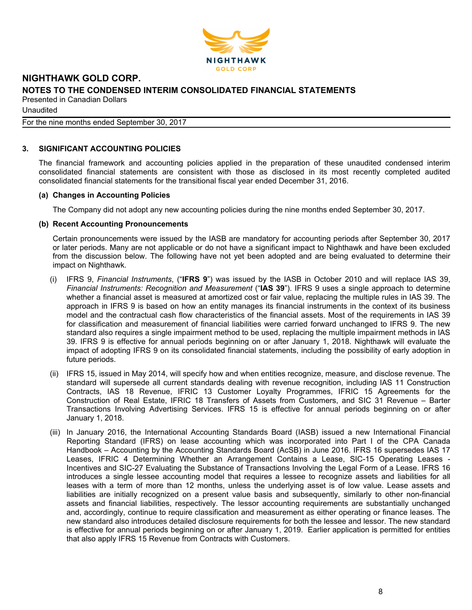

Unaudited

# For the nine months ended September 30, 2017

# **3. SIGNIFICANT ACCOUNTING POLICIES**

The financial framework and accounting policies applied in the preparation of these unaudited condensed interim consolidated financial statements are consistent with those as disclosed in its most recently completed audited consolidated financial statements for the transitional fiscal year ended December 31, 2016.

#### **(a) Changes in Accounting Policies**

The Company did not adopt any new accounting policies during the nine months ended September 30, 2017.

# **(b) Recent Accounting Pronouncements**

Certain pronouncements were issued by the IASB are mandatory for accounting periods after September 30, 2017 or later periods. Many are not applicable or do not have a significant impact to Nighthawk and have been excluded from the discussion below. The following have not yet been adopted and are being evaluated to determine their impact on Nighthawk.

- (i) IFRS 9, *Financial Instruments*, ("**IFRS 9**") was issued by the IASB in October 2010 and will replace IAS 39, *Financial Instruments: Recognition and Measurement* ("**IAS 39**"). IFRS 9 uses a single approach to determine whether a financial asset is measured at amortized cost or fair value, replacing the multiple rules in IAS 39. The approach in IFRS 9 is based on how an entity manages its financial instruments in the context of its business model and the contractual cash flow characteristics of the financial assets. Most of the requirements in IAS 39 for classification and measurement of financial liabilities were carried forward unchanged to IFRS 9. The new standard also requires a single impairment method to be used, replacing the multiple impairment methods in IAS 39. IFRS 9 is effective for annual periods beginning on or after January 1, 2018. Nighthawk will evaluate the impact of adopting IFRS 9 on its consolidated financial statements, including the possibility of early adoption in future periods.
- (ii) IFRS 15, issued in May 2014, will specify how and when entities recognize, measure, and disclose revenue. The standard will supersede all current standards dealing with revenue recognition, including IAS 11 Construction Contracts, IAS 18 Revenue, IFRIC 13 Customer Loyalty Programmes, IFRIC 15 Agreements for the Construction of Real Estate, IFRIC 18 Transfers of Assets from Customers, and SIC 31 Revenue – Barter Transactions Involving Advertising Services. IFRS 15 is effective for annual periods beginning on or after January 1, 2018.
- (iii) In January 2016, the International Accounting Standards Board (IASB) issued a new International Financial Reporting Standard (IFRS) on lease accounting which was incorporated into Part I of the CPA Canada Handbook – Accounting by the Accounting Standards Board (AcSB) in June 2016. IFRS 16 supersedes IAS 17 Leases, IFRIC 4 Determining Whether an Arrangement Contains a Lease, SIC-15 Operating Leases - Incentives and SIC-27 Evaluating the Substance of Transactions Involving the Legal Form of a Lease. IFRS 16 introduces a single lessee accounting model that requires a lessee to recognize assets and liabilities for all leases with a term of more than 12 months, unless the underlying asset is of low value. Lease assets and liabilities are initially recognized on a present value basis and subsequently, similarly to other non-financial assets and financial liabilities, respectively. The lessor accounting requirements are substantially unchanged and, accordingly, continue to require classification and measurement as either operating or finance leases. The new standard also introduces detailed disclosure requirements for both the lessee and lessor. The new standard is effective for annual periods beginning on or after January 1, 2019. Earlier application is permitted for entities that also apply IFRS 15 Revenue from Contracts with Customers.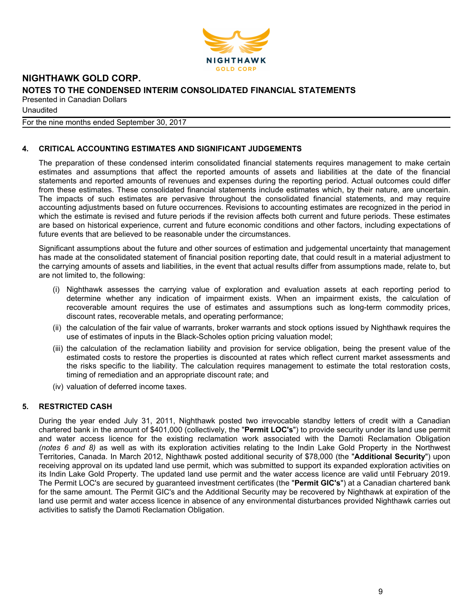

Unaudited

For the nine months ended September 30, 2017

# **4. CRITICAL ACCOUNTING ESTIMATES AND SIGNIFICANT JUDGEMENTS**

The preparation of these condensed interim consolidated financial statements requires management to make certain estimates and assumptions that affect the reported amounts of assets and liabilities at the date of the financial statements and reported amounts of revenues and expenses during the reporting period. Actual outcomes could differ from these estimates. These consolidated financial statements include estimates which, by their nature, are uncertain. The impacts of such estimates are pervasive throughout the consolidated financial statements, and may require accounting adjustments based on future occurrences. Revisions to accounting estimates are recognized in the period in which the estimate is revised and future periods if the revision affects both current and future periods. These estimates are based on historical experience, current and future economic conditions and other factors, including expectations of future events that are believed to be reasonable under the circumstances.

Significant assumptions about the future and other sources of estimation and judgemental uncertainty that management has made at the consolidated statement of financial position reporting date, that could result in a material adjustment to the carrying amounts of assets and liabilities, in the event that actual results differ from assumptions made, relate to, but are not limited to, the following:

- (i) Nighthawk assesses the carrying value of exploration and evaluation assets at each reporting period to determine whether any indication of impairment exists. When an impairment exists, the calculation of recoverable amount requires the use of estimates and assumptions such as long-term commodity prices, discount rates, recoverable metals, and operating performance;
- (ii) the calculation of the fair value of warrants, broker warrants and stock options issued by Nighthawk requires the use of estimates of inputs in the Black-Scholes option pricing valuation model;
- (iii) the calculation of the reclamation liability and provision for service obligation, being the present value of the estimated costs to restore the properties is discounted at rates which reflect current market assessments and the risks specific to the liability. The calculation requires management to estimate the total restoration costs, timing of remediation and an appropriate discount rate; and
- (iv) valuation of deferred income taxes.

# **5. RESTRICTED CASH**

During the year ended July 31, 2011, Nighthawk posted two irrevocable standby letters of credit with a Canadian chartered bank in the amount of \$401,000 (collectively, the "**Permit LOC's**") to provide security under its land use permit and water access licence for the existing reclamation work associated with the Damoti Reclamation Obligation *(notes 6 and 8)* as well as with its exploration activities relating to the Indin Lake Gold Property in the Northwest Territories, Canada. In March 2012, Nighthawk posted additional security of \$78,000 (the "**Additional Security**") upon receiving approval on its updated land use permit, which was submitted to support its expanded exploration activities on its Indin Lake Gold Property. The updated land use permit and the water access licence are valid until February 2019. The Permit LOC's are secured by guaranteed investment certificates (the "**Permit GIC's**") at a Canadian chartered bank for the same amount. The Permit GIC's and the Additional Security may be recovered by Nighthawk at expiration of the land use permit and water access licence in absence of any environmental disturbances provided Nighthawk carries out activities to satisfy the Damoti Reclamation Obligation.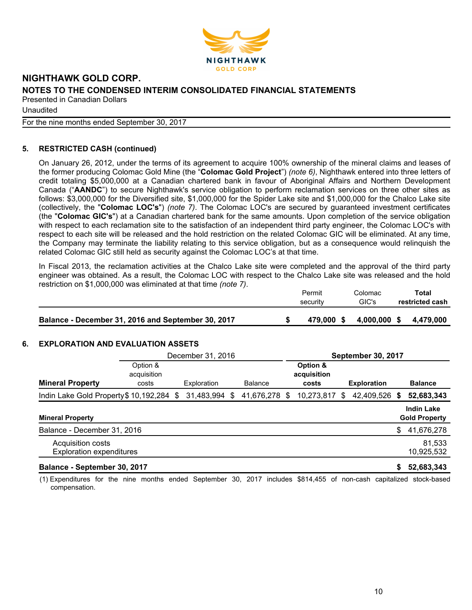

Unaudited

For the nine months ended September 30, 2017

# **5. RESTRICTED CASH (continued)**

On January 26, 2012, under the terms of its agreement to acquire 100% ownership of the mineral claims and leases of the former producing Colomac Gold Mine (the "**Colomac Gold Project**") *(note 6)*, Nighthawk entered into three letters of credit totaling \$5,000,000 at a Canadian chartered bank in favour of Aboriginal Affairs and Northern Development Canada ("**AANDC**") to secure Nighthawk's service obligation to perform reclamation services on three other sites as follows: \$3,000,000 for the Diversified site, \$1,000,000 for the Spider Lake site and \$1,000,000 for the Chalco Lake site (collectively, the "**Colomac LOC's**") *(note 7)*. The Colomac LOC's are secured by guaranteed investment certificates (the "**Colomac GIC's**") at a Canadian chartered bank for the same amounts. Upon completion of the service obligation with respect to each reclamation site to the satisfaction of an independent third party engineer, the Colomac LOC's with respect to each site will be released and the hold restriction on the related Colomac GIC will be eliminated. At any time, the Company may terminate the liability relating to this service obligation, but as a consequence would relinquish the related Colomac GIC still held as security against the Colomac LOC's at that time.

In Fiscal 2013, the reclamation activities at the Chalco Lake site were completed and the approval of the third party engineer was obtained. As a result, the Colomac LOC with respect to the Chalco Lake site was released and the hold restriction on \$1,000,000 was eliminated at that time *(note 7)*.

|                                                    | Permit<br>security | Colomac<br>GIC's | Total<br>restricted cash |
|----------------------------------------------------|--------------------|------------------|--------------------------|
| Balance - December 31, 2016 and September 30, 2017 | 479.000 \$         | 4,000,000 \$     | 4.479.000                |

# **6. EXPLORATION AND EVALUATION ASSETS**

|                                                      | December 31, 2016                |             |    | <b>September 30, 2017</b> |    |                                  |    |                    |      |                                           |
|------------------------------------------------------|----------------------------------|-------------|----|---------------------------|----|----------------------------------|----|--------------------|------|-------------------------------------------|
| <b>Mineral Property</b>                              | Option &<br>acquisition<br>costs | Exploration |    | <b>Balance</b>            |    | Option &<br>acquisition<br>costs |    | <b>Exploration</b> |      | <b>Balance</b>                            |
| Indin Lake Gold Property \$10,192,284 \$             |                                  | 31,483,994  | S. | 41,676,278                | S. | 10,273,817                       | S. | 42,409,526         | - \$ | 52,683,343                                |
| <b>Mineral Property</b>                              |                                  |             |    |                           |    |                                  |    |                    |      | <b>Indin Lake</b><br><b>Gold Property</b> |
| Balance - December 31, 2016                          |                                  |             |    |                           |    |                                  |    |                    | \$   | 41,676,278                                |
| Acquisition costs<br><b>Exploration expenditures</b> |                                  |             |    |                           |    |                                  |    |                    |      | 81,533<br>10,925,532                      |
| Balance - September 30, 2017                         |                                  |             |    |                           |    |                                  |    |                    |      | 52,683,343                                |

(1) Expenditures for the nine months ended September 30, 2017 includes \$814,455 of non-cash capitalized stock-based compensation.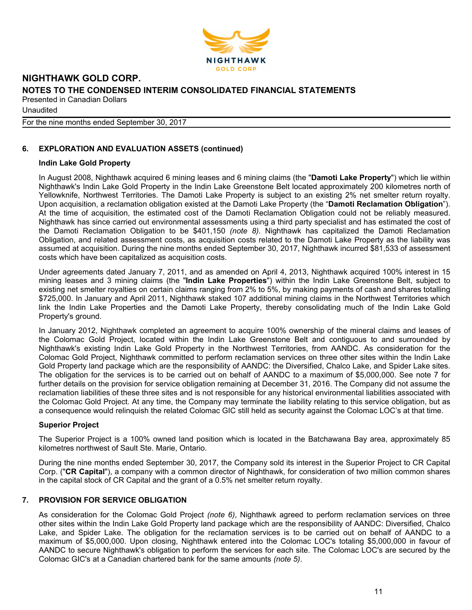

Unaudited

#### For the nine months ended September 30, 2017

# **6. EXPLORATION AND EVALUATION ASSETS (continued)**

#### **Indin Lake Gold Property**

In August 2008, Nighthawk acquired 6 mining leases and 6 mining claims (the "**Damoti Lake Property**") which lie within Nighthawk's Indin Lake Gold Property in the Indin Lake Greenstone Belt located approximately 200 kilometres north of Yellowknife, Northwest Territories. The Damoti Lake Property is subject to an existing 2% net smelter return royalty. Upon acquisition, a reclamation obligation existed at the Damoti Lake Property (the "**Damoti Reclamation Obligation**"). At the time of acquisition, the estimated cost of the Damoti Reclamation Obligation could not be reliably measured. Nighthawk has since carried out environmental assessments using a third party specialist and has estimated the cost of the Damoti Reclamation Obligation to be \$401,150 *(note 8)*. Nighthawk has capitalized the Damoti Reclamation Obligation, and related assessment costs, as acquisition costs related to the Damoti Lake Property as the liability was assumed at acquisition. During the nine months ended September 30, 2017, Nighthawk incurred \$81,533 of assessment costs which have been capitalized as acquisition costs.

Under agreements dated January 7, 2011, and as amended on April 4, 2013, Nighthawk acquired 100% interest in 15 mining leases and 3 mining claims (the "**Indin Lake Properties**") within the Indin Lake Greenstone Belt, subject to existing net smelter royalties on certain claims ranging from 2% to 5%, by making payments of cash and shares totalling \$725,000. In January and April 2011, Nighthawk staked 107 additional mining claims in the Northwest Territories which link the Indin Lake Properties and the Damoti Lake Property, thereby consolidating much of the Indin Lake Gold Property's ground.

In January 2012, Nighthawk completed an agreement to acquire 100% ownership of the mineral claims and leases of the Colomac Gold Project, located within the Indin Lake Greenstone Belt and contiguous to and surrounded by Nighthawk's existing Indin Lake Gold Property in the Northwest Territories, from AANDC. As consideration for the Colomac Gold Project, Nighthawk committed to perform reclamation services on three other sites within the Indin Lake Gold Property land package which are the responsibility of AANDC: the Diversified, Chalco Lake, and Spider Lake sites. The obligation for the services is to be carried out on behalf of AANDC to a maximum of \$5,000,000. See note 7 for further details on the provision for service obligation remaining at December 31, 2016. The Company did not assume the reclamation liabilities of these three sites and is not responsible for any historical environmental liabilities associated with the Colomac Gold Project. At any time, the Company may terminate the liability relating to this service obligation, but as a consequence would relinquish the related Colomac GIC still held as security against the Colomac LOC's at that time.

#### **Superior Project**

The Superior Project is a 100% owned land position which is located in the Batchawana Bay area, approximately 85 kilometres northwest of Sault Ste. Marie, Ontario.

During the nine months ended September 30, 2017, the Company sold its interest in the Superior Project to CR Capital Corp. ("**CR Capital**"), a company with a common director of Nighthawk, for consideration of two million common shares in the capital stock of CR Capital and the grant of a 0.5% net smelter return royalty.

# **7. PROVISION FOR SERVICE OBLIGATION**

As consideration for the Colomac Gold Project *(note 6)*, Nighthawk agreed to perform reclamation services on three other sites within the Indin Lake Gold Property land package which are the responsibility of AANDC: Diversified, Chalco Lake, and Spider Lake. The obligation for the reclamation services is to be carried out on behalf of AANDC to a maximum of \$5,000,000. Upon closing, Nighthawk entered into the Colomac LOC's totaling \$5,000,000 in favour of AANDC to secure Nighthawk's obligation to perform the services for each site. The Colomac LOC's are secured by the Colomac GIC's at a Canadian chartered bank for the same amounts *(note 5)*.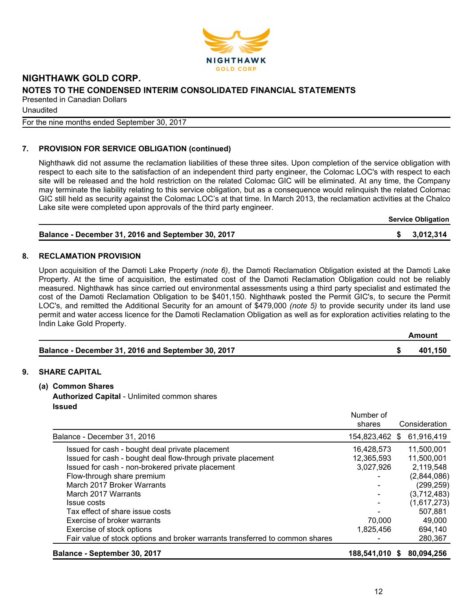

Unaudited

For the nine months ended September 30, 2017

# **7. PROVISION FOR SERVICE OBLIGATION (continued)**

Nighthawk did not assume the reclamation liabilities of these three sites. Upon completion of the service obligation with respect to each site to the satisfaction of an independent third party engineer, the Colomac LOC's with respect to each site will be released and the hold restriction on the related Colomac GIC will be eliminated. At any time, the Company may terminate the liability relating to this service obligation, but as a consequence would relinquish the related Colomac GIC still held as security against the Colomac LOC's at that time. In March 2013, the reclamation activities at the Chalco Lake site were completed upon approvals of the third party engineer.

**Service Obligation**

| Balance - December 31, 2016 and September 30, 2017 | \$3,012,314 |
|----------------------------------------------------|-------------|
|                                                    |             |

#### **8. RECLAMATION PROVISION**

Upon acquisition of the Damoti Lake Property *(note 6)*, the Damoti Reclamation Obligation existed at the Damoti Lake Property. At the time of acquisition, the estimated cost of the Damoti Reclamation Obligation could not be reliably measured. Nighthawk has since carried out environmental assessments using a third party specialist and estimated the cost of the Damoti Reclamation Obligation to be \$401,150. Nighthawk posted the Permit GIC's, to secure the Permit LOC's, and remitted the Additional Security for an amount of \$479,000 *(note 5)* to provide security under its land use permit and water access licence for the Damoti Reclamation Obligation as well as for exploration activities relating to the Indin Lake Gold Property.

|                                                    | Amount  |
|----------------------------------------------------|---------|
| Balance - December 31, 2016 and September 30, 2017 | 401.150 |

# **9. SHARE CAPITAL**

- **(a) Common Shares**
	- **Authorized Capital**  Unlimited common shares **Issued**

| Balance - September 30, 2017                                                 | 188,541,010 \$      |     | 80,094,256    |
|------------------------------------------------------------------------------|---------------------|-----|---------------|
| Fair value of stock options and broker warrants transferred to common shares |                     |     | 280,367       |
| Exercise of stock options                                                    | 1,825,456           |     | 694,140       |
| Exercise of broker warrants                                                  | 70,000              |     | 49,000        |
| Tax effect of share issue costs                                              |                     |     | 507,881       |
| <b>Issue costs</b>                                                           |                     |     | (1,617,273)   |
| March 2017 Warrants                                                          |                     |     | (3,712,483)   |
| March 2017 Broker Warrants                                                   |                     |     | (299, 259)    |
| Flow-through share premium                                                   |                     |     | (2,844,086)   |
| Issued for cash - non-brokered private placement                             | 3,027,926           |     | 2,119,548     |
| Issued for cash - bought deal flow-through private placement                 | 12,365,593          |     | 11,500,001    |
| Issued for cash - bought deal private placement                              | 16,428,573          |     | 11.500.001    |
| Balance - December 31, 2016                                                  | 154,823,462         | \$. | 61,916,419    |
|                                                                              | Number of<br>shares |     | Consideration |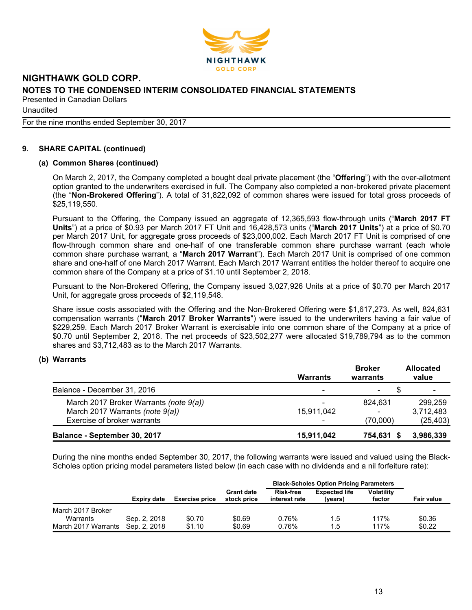

Unaudited

For the nine months ended September 30, 2017

# **9. SHARE CAPITAL (continued)**

#### **(a) Common Shares (continued)**

On March 2, 2017, the Company completed a bought deal private placement (the "**Offering**") with the over-allotment option granted to the underwriters exercised in full. The Company also completed a non-brokered private placement (the "**Non-Brokered Offering**"). A total of 31,822,092 of common shares were issued for total gross proceeds of \$25,119,550.

Pursuant to the Offering, the Company issued an aggregate of 12,365,593 flow-through units ("**March 2017 FT Units**") at a price of \$0.93 per March 2017 FT Unit and 16,428,573 units ("**March 2017 Units**") at a price of \$0.70 per March 2017 Unit, for aggregate gross proceeds of \$23,000,002. Each March 2017 FT Unit is comprised of one flow-through common share and one-half of one transferable common share purchase warrant (each whole common share purchase warrant, a "**March 2017 Warrant**"). Each March 2017 Unit is comprised of one common share and one-half of one March 2017 Warrant. Each March 2017 Warrant entitles the holder thereof to acquire one common share of the Company at a price of \$1.10 until September 2, 2018.

Pursuant to the Non-Brokered Offering, the Company issued 3,027,926 Units at a price of \$0.70 per March 2017 Unit, for aggregate gross proceeds of \$2,119,548.

Share issue costs associated with the Offering and the Non-Brokered Offering were \$1,617,273. As well, 824,631 compensation warrants ("**March 2017 Broker Warrants**") were issued to the underwriters having a fair value of \$229,259. Each March 2017 Broker Warrant is exercisable into one common share of the Company at a price of \$0.70 until September 2, 2018. The net proceeds of \$23,502,277 were allocated \$19,789,794 as to the common shares and \$3,712,483 as to the March 2017 Warrants.

#### **(b) Warrants**

|                                        | Warrants                 | <b>Broker</b><br>warrants | <b>Allocated</b><br>value |
|----------------------------------------|--------------------------|---------------------------|---------------------------|
| Balance - December 31, 2016            | -                        | -                         | ٠                         |
| March 2017 Broker Warrants (note 9(a)) | $\overline{\phantom{0}}$ | 824.631                   | 299.259                   |
| March 2017 Warrants (note 9(a))        | 15,911,042               | ۰                         | 3,712,483                 |
| Exercise of broker warrants            |                          | (70,000)                  | (25, 403)                 |
| Balance - September 30, 2017           | 15,911,042               | 754,631 \$                | 3,986,339                 |

During the nine months ended September 30, 2017, the following warrants were issued and valued using the Black-Scholes option pricing model parameters listed below (in each case with no dividends and a nil forfeiture rate):

|                     |              |                       |                                  | <b>Black-Scholes Option Pricing Parameters</b> |                                 |                             |                   |  |
|---------------------|--------------|-----------------------|----------------------------------|------------------------------------------------|---------------------------------|-----------------------------|-------------------|--|
|                     | Expiry date  | <b>Exercise price</b> | <b>Grant date</b><br>stock price | <b>Risk-free</b><br>interest rate              | <b>Expected life</b><br>(years) | <b>Volatility</b><br>factor | <b>Fair value</b> |  |
| March 2017 Broker   |              |                       |                                  |                                                |                                 |                             |                   |  |
| Warrants            | Sep. 2, 2018 | \$0.70                | \$0.69                           | 0.76%                                          | 1.5                             | 117%                        | \$0.36            |  |
| March 2017 Warrants | Sep. 2, 2018 | \$1.10                | \$0.69                           | 0.76%                                          | 1.5                             | 117%                        | \$0.22            |  |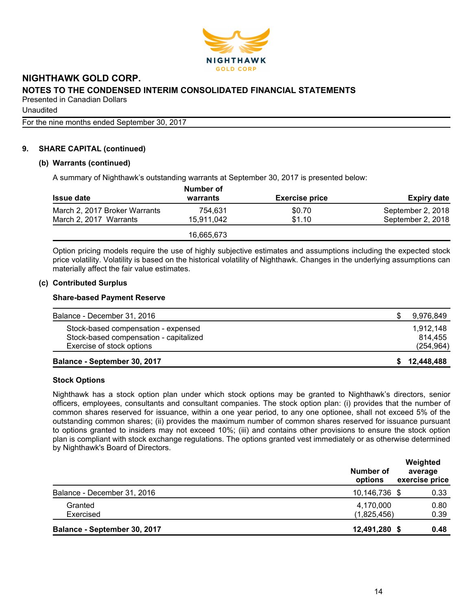

Unaudited

For the nine months ended September 30, 2017

# **9. SHARE CAPITAL (continued)**

#### **(b) Warrants (continued)**

A summary of Nighthawk's outstanding warrants at September 30, 2017 is presented below:

|                               | Number of  |                       |                    |  |  |  |
|-------------------------------|------------|-----------------------|--------------------|--|--|--|
| <b>Issue date</b>             | warrants   | <b>Exercise price</b> | <b>Expiry date</b> |  |  |  |
| March 2, 2017 Broker Warrants | 754.631    | \$0.70                | September 2, 2018  |  |  |  |
| March 2, 2017 Warrants        | 15.911.042 | \$1.10                | September 2, 2018  |  |  |  |
|                               | 16,665,673 |                       |                    |  |  |  |

Option pricing models require the use of highly subjective estimates and assumptions including the expected stock price volatility. Volatility is based on the historical volatility of Nighthawk. Changes in the underlying assumptions can materially affect the fair value estimates.

# **(c) Contributed Surplus**

#### **Share-based Payment Reserve**

| Balance - September 30, 2017           | \$12,448,488 |
|----------------------------------------|--------------|
| Exercise of stock options              | (254, 964)   |
| Stock-based compensation - capitalized | 814.455      |
| Stock-based compensation - expensed    | 1.912.148    |
| Balance - December 31, 2016            | 9,976,849    |

#### **Stock Options**

Nighthawk has a stock option plan under which stock options may be granted to Nighthawk's directors, senior officers, employees, consultants and consultant companies. The stock option plan: (i) provides that the number of common shares reserved for issuance, within a one year period, to any one optionee, shall not exceed 5% of the outstanding common shares; (ii) provides the maximum number of common shares reserved for issuance pursuant to options granted to insiders may not exceed 10%; (iii) and contains other provisions to ensure the stock option plan is compliant with stock exchange regulations. The options granted vest immediately or as otherwise determined by Nighthawk's Board of Directors.

| Granted                      | Number of<br>options     | Weighted<br>average<br>exercise price |  |
|------------------------------|--------------------------|---------------------------------------|--|
| Balance - December 31, 2016  | 10,146,736 \$            | 0.33                                  |  |
| Exercised                    | 4,170,000<br>(1,825,456) | 0.80<br>0.39                          |  |
| Balance - September 30, 2017 | 12,491,280               | 0.48                                  |  |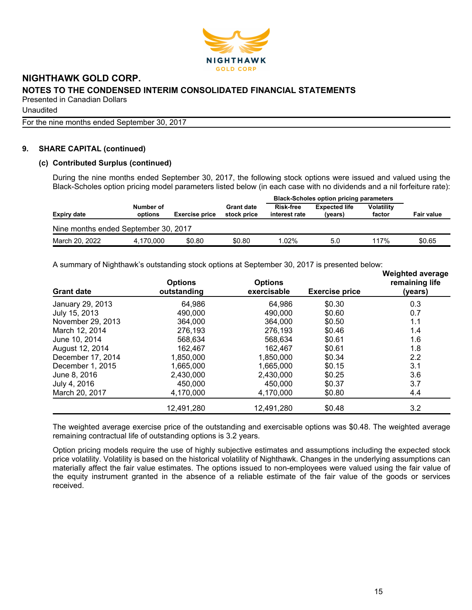

Unaudited

For the nine months ended September 30, 2017

# **9. SHARE CAPITAL (continued)**

#### **(c) Contributed Surplus (continued)**

During the nine months ended September 30, 2017, the following stock options were issued and valued using the Black-Scholes option pricing model parameters listed below (in each case with no dividends and a nil forfeiture rate):

|                                      |                      |                       |                                  | <b>Black-Scholes option pricing parameters</b> |                                 |                             |                   |
|--------------------------------------|----------------------|-----------------------|----------------------------------|------------------------------------------------|---------------------------------|-----------------------------|-------------------|
| <b>Expiry date</b>                   | Number of<br>options | <b>Exercise price</b> | <b>Grant date</b><br>stock price | Risk-free<br>interest rate                     | <b>Expected life</b><br>(years) | <b>Volatility</b><br>factor | <b>Fair value</b> |
| Nine months ended September 30, 2017 |                      |                       |                                  |                                                |                                 |                             |                   |
| March 20, 2022                       | 4.170.000            | \$0.80                | \$0.80                           | 1.02%                                          | 5.0                             | 117%                        | \$0.65            |

A summary of Nighthawk's outstanding stock options at September 30, 2017 is presented below:

| <b>Grant date</b> | <b>Options</b><br>outstanding | <b>Options</b><br>exercisable | <b>Exercise price</b> | <b>Weighted average</b><br>remaining life<br>(years) |
|-------------------|-------------------------------|-------------------------------|-----------------------|------------------------------------------------------|
| January 29, 2013  | 64,986                        | 64,986                        | \$0.30                | 0.3                                                  |
| July 15, 2013     | 490,000                       | 490,000                       | \$0.60                | 0.7                                                  |
| November 29, 2013 | 364,000                       | 364,000                       | \$0.50                | 1.1                                                  |
| March 12, 2014    | 276,193                       | 276,193                       | \$0.46                | 1.4                                                  |
| June 10, 2014     | 568.634                       | 568.634                       | \$0.61                | 1.6                                                  |
| August 12, 2014   | 162,467                       | 162,467                       | \$0.61                | 1.8                                                  |
| December 17, 2014 | 1,850,000                     | 1,850,000                     | \$0.34                | 2.2                                                  |
| December 1, 2015  | 1,665,000                     | 1,665,000                     | \$0.15                | 3.1                                                  |
| June 8, 2016      | 2,430,000                     | 2,430,000                     | \$0.25                | 3.6                                                  |
| July 4, 2016      | 450,000                       | 450,000                       | \$0.37                | 3.7                                                  |
| March 20, 2017    | 4,170,000                     | 4,170,000                     | \$0.80                | 4.4                                                  |
|                   | 12,491,280                    | 12,491,280                    | \$0.48                | 3.2                                                  |

The weighted average exercise price of the outstanding and exercisable options was \$0.48. The weighted average remaining contractual life of outstanding options is 3.2 years.

Option pricing models require the use of highly subjective estimates and assumptions including the expected stock price volatility. Volatility is based on the historical volatility of Nighthawk. Changes in the underlying assumptions can materially affect the fair value estimates. The options issued to non-employees were valued using the fair value of the equity instrument granted in the absence of a reliable estimate of the fair value of the goods or services received.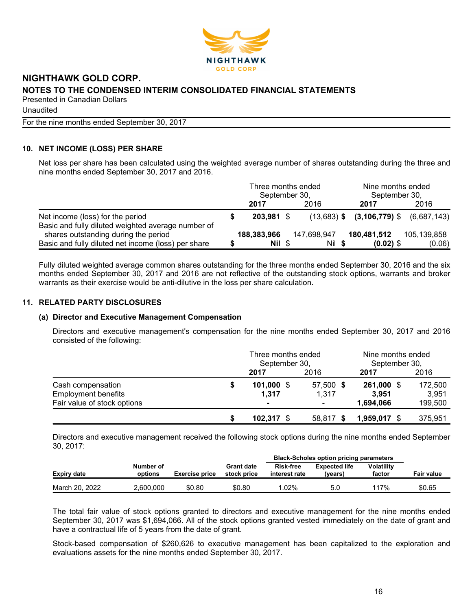

Unaudited

For the nine months ended September 30, 2017

# **10. NET INCOME (LOSS) PER SHARE**

Net loss per share has been calculated using the weighted average number of shares outstanding during the three and nine months ended September 30, 2017 and 2016.

|                                                     | Three months ended<br>September 30, |  |             |  | Nine months ended<br>September 30, |                                              |  |
|-----------------------------------------------------|-------------------------------------|--|-------------|--|------------------------------------|----------------------------------------------|--|
|                                                     | 2017                                |  | 2016        |  | 2017                               | 2016                                         |  |
| Net income (loss) for the period                    | 203,981 \$                          |  |             |  |                                    | $(13,683)$ \$ $(3,106,779)$ \$ $(6,687,143)$ |  |
| Basic and fully diluted weighted average number of  |                                     |  |             |  |                                    |                                              |  |
| shares outstanding during the period                | 188,383,966                         |  | 147,698,947 |  | 180,481,512                        | 105,139,858                                  |  |
| Basic and fully diluted net income (loss) per share | Nil \$                              |  | Nil \$      |  | $(0.02)$ \$                        | (0.06)                                       |  |

Fully diluted weighted average common shares outstanding for the three months ended September 30, 2016 and the six months ended September 30, 2017 and 2016 are not reflective of the outstanding stock options, warrants and broker warrants as their exercise would be anti-dilutive in the loss per share calculation.

# **11. RELATED PARTY DISCLOSURES**

#### **(a) Director and Executive Management Compensation**

Directors and executive management's compensation for the nine months ended September 30, 2017 and 2016 consisted of the following:

|                             | Three months ended<br>September 30, |           | Nine months ended<br>September 30, |         |  |
|-----------------------------|-------------------------------------|-----------|------------------------------------|---------|--|
|                             | 2017                                | 2016      | 2017                               | 2016    |  |
| Cash compensation           | $101,000$ \$                        | 57,500 \$ | 261,000 \$                         | 172,500 |  |
| <b>Employment benefits</b>  | 1.317                               | 1.317     | 3.951                              | 3.951   |  |
| Fair value of stock options |                                     |           | 1,694,066                          | 199,500 |  |
|                             | $102,317$ \$                        | 58,817 \$ | 1,959,017 \$                       | 375,951 |  |

Directors and executive management received the following stock options during the nine months ended September 30, 2017:

|                |                      |                       |                                  | <b>Black-Scholes option pricing parameters</b> |                                 |                             |                   |  |
|----------------|----------------------|-----------------------|----------------------------------|------------------------------------------------|---------------------------------|-----------------------------|-------------------|--|
| Expiry date    | Number of<br>options | <b>Exercise price</b> | <b>Grant date</b><br>stock price | <b>Risk-free</b><br>interest rate              | <b>Expected life</b><br>(vears) | <b>Volatility</b><br>factor | <b>Fair value</b> |  |
| March 20, 2022 | 2.600.000            | \$0.80                | \$0.80                           | $.02\%$                                        | 5.0                             | 117%                        | \$0.65            |  |

The total fair value of stock options granted to directors and executive management for the nine months ended September 30, 2017 was \$1,694,066. All of the stock options granted vested immediately on the date of grant and have a contractual life of 5 years from the date of grant.

Stock-based compensation of \$260,626 to executive management has been capitalized to the exploration and evaluations assets for the nine months ended September 30, 2017.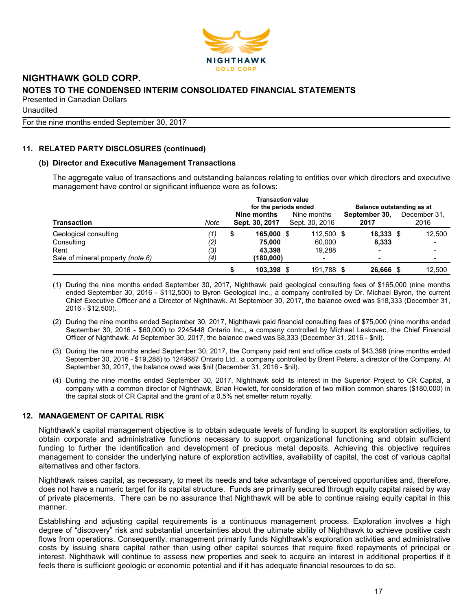

Unaudited

For the nine months ended September 30, 2017

# **11. RELATED PARTY DISCLOSURES (continued)**

#### **(b) Director and Executive Management Transactions**

The aggregate value of transactions and outstanding balances relating to entities over which directors and executive management have control or significant influence were as follows:

| <b>Transaction</b><br>Geological consulting<br>Consulting<br>Rent<br>Sale of mineral property (note 6) |                          | Transaction value<br>for the periods ended |                                             |  |                                |  | Balance outstanding as at              |  |                      |  |
|--------------------------------------------------------------------------------------------------------|--------------------------|--------------------------------------------|---------------------------------------------|--|--------------------------------|--|----------------------------------------|--|----------------------|--|
|                                                                                                        | Note                     |                                            | Nine months<br>Sept. 30, 2017               |  | Nine months<br>Sept. 30, 2016  |  | September 30,<br>2017                  |  | December 31.<br>2016 |  |
|                                                                                                        | '1)<br>(2)<br>(3)<br>(4) | S                                          | 165,000 \$<br>75.000<br>43.398<br>(180,000) |  | 112,500 \$<br>60.000<br>19.288 |  | 18,333<br>8,333<br>$\blacksquare$<br>- |  | 12,500               |  |
|                                                                                                        |                          |                                            | 103,398 \$                                  |  | 191,788 \$                     |  | 26.666                                 |  | 12.500               |  |

(1) During the nine months ended September 30, 2017, Nighthawk paid geological consulting fees of \$165,000 (nine months ended September 30, 2016 - \$112,500) to Byron Geological Inc., a company controlled by Dr. Michael Byron, the current Chief Executive Officer and a Director of Nighthawk. At September 30, 2017, the balance owed was \$18,333 (December 31, 2016 - \$12,500).

- (2) During the nine months ended September 30, 2017, Nighthawk paid financial consulting fees of \$75,000 (nine months ended September 30, 2016 - \$60,000) to 2245448 Ontario Inc., a company controlled by Michael Leskovec, the Chief Financial Officer of Nighthawk. At September 30, 2017, the balance owed was \$8,333 (December 31, 2016 - \$nil).
- (3) During the nine months ended September 30, 2017, the Company paid rent and office costs of \$43,398 (nine months ended September 30, 2016 - \$19,288) to 1249687 Ontario Ltd., a company controlled by Brent Peters, a director of the Company. At September 30, 2017, the balance owed was \$nil (December 31, 2016 - \$nil).
- (4) During the nine months ended September 30, 2017, Nighthawk sold its interest in the Superior Project to CR Capital, a company with a common director of Nighthawk, Brian Howlett, for consideration of two million common shares (\$180,000) in the capital stock of CR Capital and the grant of a 0.5% net smelter return royalty.

# **12. MANAGEMENT OF CAPITAL RISK**

Nighthawk's capital management objective is to obtain adequate levels of funding to support its exploration activities, to obtain corporate and administrative functions necessary to support organizational functioning and obtain sufficient funding to further the identification and development of precious metal deposits. Achieving this objective requires management to consider the underlying nature of exploration activities, availability of capital, the cost of various capital alternatives and other factors.

Nighthawk raises capital, as necessary, to meet its needs and take advantage of perceived opportunities and, therefore, does not have a numeric target for its capital structure. Funds are primarily secured through equity capital raised by way of private placements. There can be no assurance that Nighthawk will be able to continue raising equity capital in this manner.

Establishing and adjusting capital requirements is a continuous management process. Exploration involves a high degree of "discovery" risk and substantial uncertainties about the ultimate ability of Nighthawk to achieve positive cash flows from operations. Consequently, management primarily funds Nighthawk's exploration activities and administrative costs by issuing share capital rather than using other capital sources that require fixed repayments of principal or interest. Nighthawk will continue to assess new properties and seek to acquire an interest in additional properties if it feels there is sufficient geologic or economic potential and if it has adequate financial resources to do so.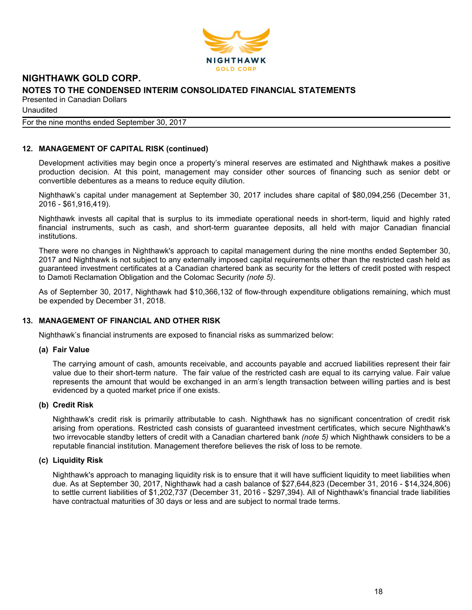

Unaudited

#### For the nine months ended September 30, 2017

# **12. MANAGEMENT OF CAPITAL RISK (continued)**

Development activities may begin once a property's mineral reserves are estimated and Nighthawk makes a positive production decision. At this point, management may consider other sources of financing such as senior debt or convertible debentures as a means to reduce equity dilution.

Nighthawk's capital under management at September 30, 2017 includes share capital of \$80,094,256 (December 31, 2016 - \$61,916,419).

Nighthawk invests all capital that is surplus to its immediate operational needs in short-term, liquid and highly rated financial instruments, such as cash, and short-term guarantee deposits, all held with major Canadian financial institutions.

There were no changes in Nighthawk's approach to capital management during the nine months ended September 30, 2017 and Nighthawk is not subject to any externally imposed capital requirements other than the restricted cash held as guaranteed investment certificates at a Canadian chartered bank as security for the letters of credit posted with respect to Damoti Reclamation Obligation and the Colomac Security *(note 5)*.

As of September 30, 2017, Nighthawk had \$10,366,132 of flow-through expenditure obligations remaining, which must be expended by December 31, 2018.

#### **13. MANAGEMENT OF FINANCIAL AND OTHER RISK**

Nighthawk's financial instruments are exposed to financial risks as summarized below:

#### **(a) Fair Value**

The carrying amount of cash, amounts receivable, and accounts payable and accrued liabilities represent their fair value due to their short-term nature. The fair value of the restricted cash are equal to its carrying value. Fair value represents the amount that would be exchanged in an arm's length transaction between willing parties and is best evidenced by a quoted market price if one exists.

#### **(b) Credit Risk**

Nighthawk's credit risk is primarily attributable to cash. Nighthawk has no significant concentration of credit risk arising from operations. Restricted cash consists of guaranteed investment certificates, which secure Nighthawk's two irrevocable standby letters of credit with a Canadian chartered bank *(note 5)* which Nighthawk considers to be a reputable financial institution. Management therefore believes the risk of loss to be remote.

#### **(c) Liquidity Risk**

Nighthawk's approach to managing liquidity risk is to ensure that it will have sufficient liquidity to meet liabilities when due. As at September 30, 2017, Nighthawk had a cash balance of \$27,644,823 (December 31, 2016 - \$14,324,806) to settle current liabilities of \$1,202,737 (December 31, 2016 - \$297,394). All of Nighthawk's financial trade liabilities have contractual maturities of 30 days or less and are subject to normal trade terms.